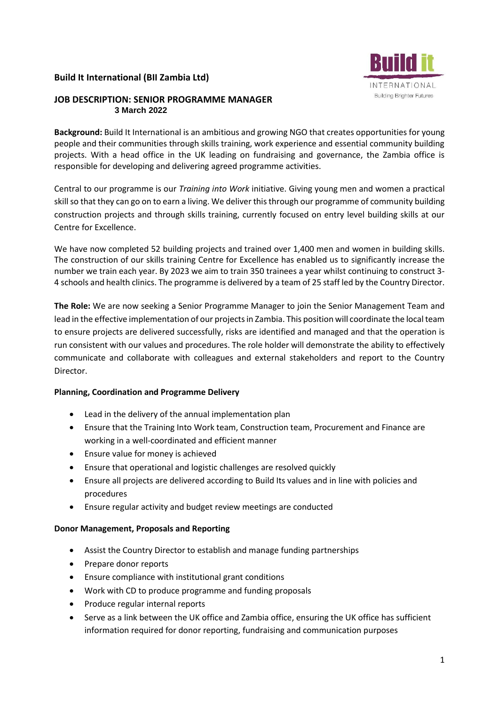## **Build It International (BII Zambia Ltd)**

## **JOB DESCRIPTION: SENIOR PROGRAMME MANAGER 3 March 2022**

Ruild **INTERNATIONAL Building Brighter Futures** 

**Background:** Build It International is an ambitious and growing NGO that creates opportunities for young people and their communities through skills training, work experience and essential community building projects. With a head office in the UK leading on fundraising and governance, the Zambia office is responsible for developing and delivering agreed programme activities.

Central to our programme is our *Training into Work* initiative. Giving young men and women a practical skill so that they can go on to earn a living. We deliver this through our programme of community building construction projects and through skills training, currently focused on entry level building skills at our Centre for Excellence.

We have now completed 52 building projects and trained over 1,400 men and women in building skills. The construction of our skills training Centre for Excellence has enabled us to significantly increase the number we train each year. By 2023 we aim to train 350 trainees a year whilst continuing to construct 3- 4 schools and health clinics. The programme is delivered by a team of 25 staff led by the Country Director.

**The Role:** We are now seeking a Senior Programme Manager to join the Senior Management Team and lead in the effective implementation of our projects in Zambia. This position will coordinate the local team to ensure projects are delivered successfully, risks are identified and managed and that the operation is run consistent with our values and procedures. The role holder will demonstrate the ability to effectively communicate and collaborate with colleagues and external stakeholders and report to the Country Director.

## **Planning, Coordination and Programme Delivery**

- Lead in the delivery of the annual implementation plan
- Ensure that the Training Into Work team, Construction team, Procurement and Finance are working in a well-coordinated and efficient manner
- Ensure value for money is achieved
- Ensure that operational and logistic challenges are resolved quickly
- Ensure all projects are delivered according to Build Its values and in line with policies and procedures
- Ensure regular activity and budget review meetings are conducted

# **Donor Management, Proposals and Reporting**

- Assist the Country Director to establish and manage funding partnerships
- Prepare donor reports
- Ensure compliance with institutional grant conditions
- Work with CD to produce programme and funding proposals
- Produce regular internal reports
- Serve as a link between the UK office and Zambia office, ensuring the UK office has sufficient information required for donor reporting, fundraising and communication purposes